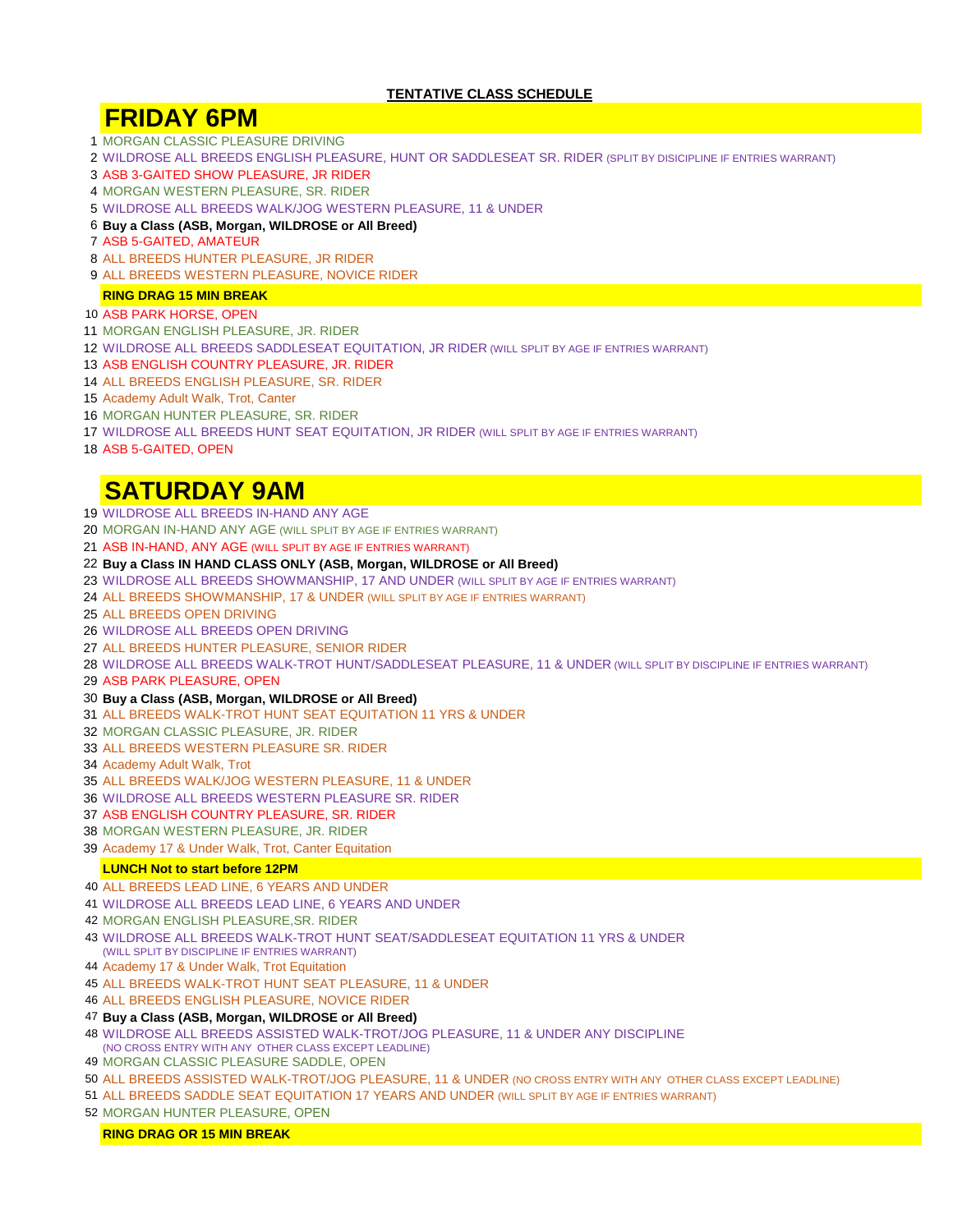### **TENTATIVE CLASS SCHEDULE**

# **FRIDAY 6PM**

- MORGAN CLASSIC PLEASURE DRIVING
- WILDROSE ALL BREEDS ENGLISH PLEASURE, HUNT OR SADDLESEAT SR. RIDER (SPLIT BY DISICIPLINE IF ENTRIES WARRANT)
- ASB 3-GAITED SHOW PLEASURE, JR RIDER
- MORGAN WESTERN PLEASURE, SR. RIDER
- WILDROSE ALL BREEDS WALK/JOG WESTERN PLEASURE, 11 & UNDER
- **Buy a Class (ASB, Morgan, WILDROSE or All Breed)**
- ASB 5-GAITED, AMATEUR
- ALL BREEDS HUNTER PLEASURE, JR RIDER
- ALL BREEDS WESTERN PLEASURE, NOVICE RIDER

#### **RING DRAG 15 MIN BREAK**

- ASB PARK HORSE, OPEN
- MORGAN ENGLISH PLEASURE, JR. RIDER
- WILDROSE ALL BREEDS SADDLESEAT EQUITATION, JR RIDER (WILL SPLIT BY AGE IF ENTRIES WARRANT)
- ASB ENGLISH COUNTRY PLEASURE, JR. RIDER
- ALL BREEDS ENGLISH PLEASURE, SR. RIDER
- Academy Adult Walk, Trot, Canter
- MORGAN HUNTER PLEASURE, SR. RIDER
- WILDROSE ALL BREEDS HUNT SEAT EQUITATION, JR RIDER (WILL SPLIT BY AGE IF ENTRIES WARRANT)
- ASB 5-GAITED, OPEN

# **SATURDAY 9AM**

- WILDROSE ALL BREEDS IN-HAND ANY AGE
- MORGAN IN-HAND ANY AGE (WILL SPLIT BY AGE IF ENTRIES WARRANT)
- ASB IN-HAND, ANY AGE (WILL SPLIT BY AGE IF ENTRIES WARRANT)

#### **Buy a Class IN HAND CLASS ONLY (ASB, Morgan, WILDROSE or All Breed)**

- WILDROSE ALL BREEDS SHOWMANSHIP, 17 AND UNDER (WILL SPLIT BY AGE IF ENTRIES WARRANT)
- ALL BREEDS SHOWMANSHIP, 17 & UNDER (WILL SPLIT BY AGE IF ENTRIES WARRANT)
- ALL BREEDS OPEN DRIVING
- WILDROSE ALL BREEDS OPEN DRIVING
- ALL BREEDS HUNTER PLEASURE, SENIOR RIDER
- WILDROSE ALL BREEDS WALK-TROT HUNT/SADDLESEAT PLEASURE, 11 & UNDER (WILL SPLIT BY DISCIPLINE IF ENTRIES WARRANT)
- ASB PARK PLEASURE, OPEN

#### **Buy a Class (ASB, Morgan, WILDROSE or All Breed)**

- ALL BREEDS WALK-TROT HUNT SEAT EQUITATION 11 YRS & UNDER
- MORGAN CLASSIC PLEASURE, JR. RIDER
- ALL BREEDS WESTERN PLEASURE SR. RIDER
- Academy Adult Walk, Trot
- ALL BREEDS WALK/JOG WESTERN PLEASURE, 11 & UNDER
- WILDROSE ALL BREEDS WESTERN PLEASURE SR. RIDER
- ASB ENGLISH COUNTRY PLEASURE, SR. RIDER
- MORGAN WESTERN PLEASURE, JR. RIDER
- Academy 17 & Under Walk, Trot, Canter Equitation

#### **LUNCH Not to start before 12PM**

- ALL BREEDS LEAD LINE, 6 YEARS AND UNDER
- WILDROSE ALL BREEDS LEAD LINE, 6 YEARS AND UNDER
- MORGAN ENGLISH PLEASURE,SR. RIDER
- WILDROSE ALL BREEDS WALK-TROT HUNT SEAT/SADDLESEAT EQUITATION 11 YRS & UNDER (WILL SPLIT BY DISCIPLINE IF ENTRIES WARRANT)
- Academy 17 & Under Walk, Trot Equitation
- ALL BREEDS WALK-TROT HUNT SEAT PLEASURE, 11 & UNDER
- ALL BREEDS ENGLISH PLEASURE, NOVICE RIDER
- **Buy a Class (ASB, Morgan, WILDROSE or All Breed)**
- WILDROSE ALL BREEDS ASSISTED WALK-TROT/JOG PLEASURE, 11 & UNDER ANY DISCIPLINE (NO CROSS ENTRY WITH ANY OTHER CLASS EXCEPT LEADLINE)
- MORGAN CLASSIC PLEASURE SADDLE, OPEN
- ALL BREEDS ASSISTED WALK-TROT/JOG PLEASURE, 11 & UNDER (NO CROSS ENTRY WITH ANY OTHER CLASS EXCEPT LEADLINE)
- ALL BREEDS SADDLE SEAT EQUITATION 17 YEARS AND UNDER (WILL SPLIT BY AGE IF ENTRIES WARRANT)
- MORGAN HUNTER PLEASURE, OPEN

**RING DRAG OR 15 MIN BREAK**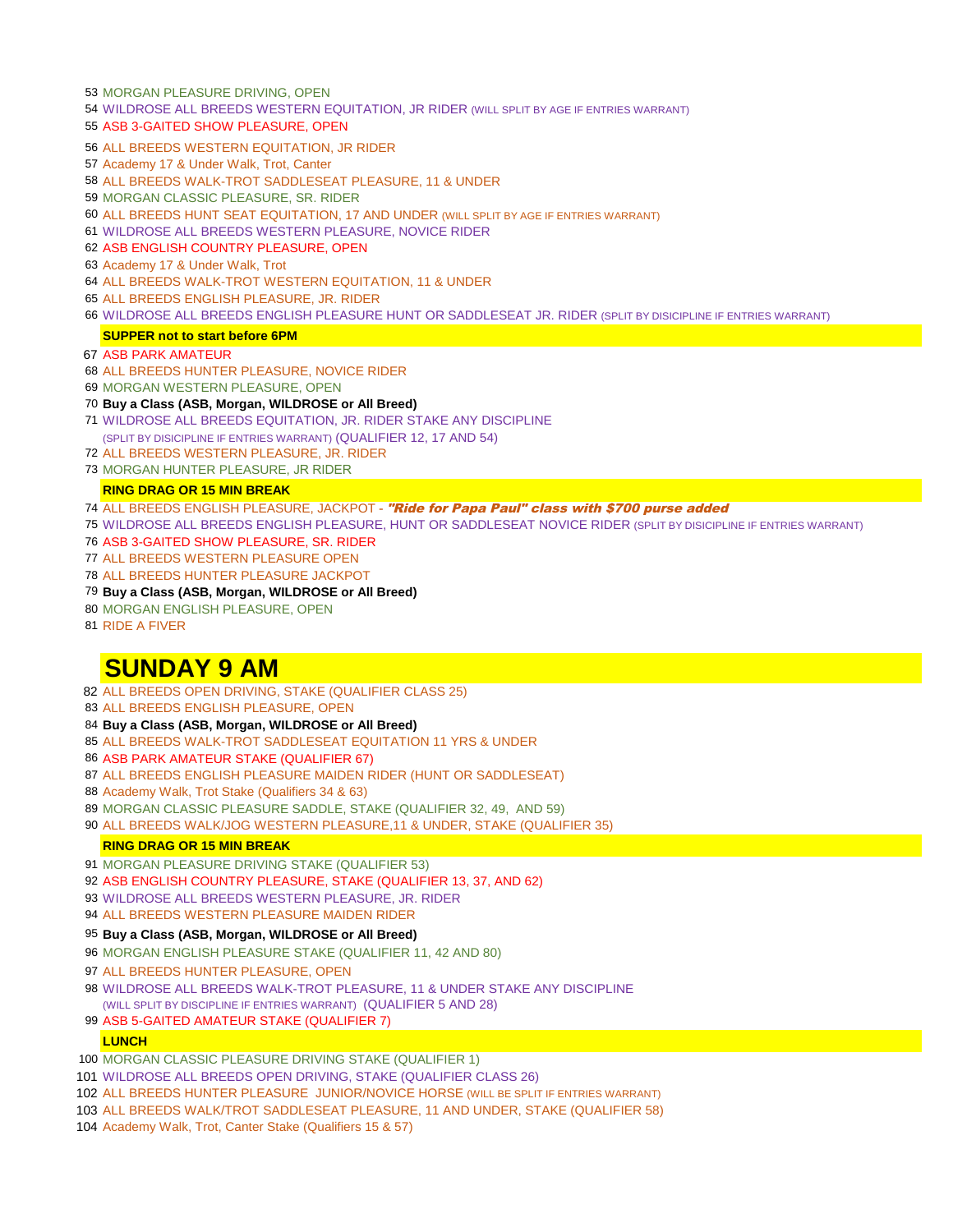- 53 MORGAN PLEASURE DRIVING, OPEN
- WILDROSE ALL BREEDS WESTERN EQUITATION, JR RIDER (WILL SPLIT BY AGE IF ENTRIES WARRANT)
- ASB 3-GAITED SHOW PLEASURE, OPEN
- ALL BREEDS WESTERN EQUITATION, JR RIDER
- Academy 17 & Under Walk, Trot, Canter
- ALL BREEDS WALK-TROT SADDLESEAT PLEASURE, 11 & UNDER
- MORGAN CLASSIC PLEASURE, SR. RIDER
- ALL BREEDS HUNT SEAT EQUITATION, 17 AND UNDER (WILL SPLIT BY AGE IF ENTRIES WARRANT)
- WILDROSE ALL BREEDS WESTERN PLEASURE, NOVICE RIDER
- ASB ENGLISH COUNTRY PLEASURE, OPEN
- Academy 17 & Under Walk, Trot
- ALL BREEDS WALK-TROT WESTERN EQUITATION, 11 & UNDER
- ALL BREEDS ENGLISH PLEASURE, JR. RIDER
- WILDROSE ALL BREEDS ENGLISH PLEASURE HUNT OR SADDLESEAT JR. RIDER (SPLIT BY DISICIPLINE IF ENTRIES WARRANT)

#### **SUPPER not to start before 6PM**

- ASB PARK AMATEUR
- ALL BREEDS HUNTER PLEASURE, NOVICE RIDER
- MORGAN WESTERN PLEASURE, OPEN
- **Buy a Class (ASB, Morgan, WILDROSE or All Breed)**
- WILDROSE ALL BREEDS EQUITATION, JR. RIDER STAKE ANY DISCIPLINE (SPLIT BY DISICIPLINE IF ENTRIES WARRANT) (QUALIFIER 12, 17 AND 54)
- ALL BREEDS WESTERN PLEASURE, JR. RIDER
- MORGAN HUNTER PLEASURE, JR RIDER

#### **RING DRAG OR 15 MIN BREAK**

- 74 ALL BREEDS ENGLISH PLEASURE, JACKPOT "Ride for Papa Paul" class with \$700 purse added
- WILDROSE ALL BREEDS ENGLISH PLEASURE, HUNT OR SADDLESEAT NOVICE RIDER (SPLIT BY DISICIPLINE IF ENTRIES WARRANT)
- ASB 3-GAITED SHOW PLEASURE, SR. RIDER
- ALL BREEDS WESTERN PLEASURE OPEN
- ALL BREEDS HUNTER PLEASURE JACKPOT
- **Buy a Class (ASB, Morgan, WILDROSE or All Breed)**
- MORGAN ENGLISH PLEASURE, OPEN
- RIDE A FIVER

# **SUNDAY 9 AM**

- ALL BREEDS OPEN DRIVING, STAKE (QUALIFIER CLASS 25)
- ALL BREEDS ENGLISH PLEASURE, OPEN
- **Buy a Class (ASB, Morgan, WILDROSE or All Breed)**
- ALL BREEDS WALK-TROT SADDLESEAT EQUITATION 11 YRS & UNDER
- ASB PARK AMATEUR STAKE (QUALIFIER 67)
- ALL BREEDS ENGLISH PLEASURE MAIDEN RIDER (HUNT OR SADDLESEAT)
- Academy Walk, Trot Stake (Qualifiers 34 & 63)
- MORGAN CLASSIC PLEASURE SADDLE, STAKE (QUALIFIER 32, 49, AND 59)
- ALL BREEDS WALK/JOG WESTERN PLEASURE,11 & UNDER, STAKE (QUALIFIER 35)

#### **RING DRAG OR 15 MIN BREAK**

- MORGAN PLEASURE DRIVING STAKE (QUALIFIER 53)
- ASB ENGLISH COUNTRY PLEASURE, STAKE (QUALIFIER 13, 37, AND 62)
- WILDROSE ALL BREEDS WESTERN PLEASURE, JR. RIDER
- ALL BREEDS WESTERN PLEASURE MAIDEN RIDER

#### **Buy a Class (ASB, Morgan, WILDROSE or All Breed)**

- MORGAN ENGLISH PLEASURE STAKE (QUALIFIER 11, 42 AND 80)
- ALL BREEDS HUNTER PLEASURE, OPEN
- WILDROSE ALL BREEDS WALK-TROT PLEASURE, 11 & UNDER STAKE ANY DISCIPLINE (WILL SPLIT BY DISCIPLINE IF ENTRIES WARRANT) (QUALIFIER 5 AND 28)
- ASB 5-GAITED AMATEUR STAKE (QUALIFIER 7)

#### **LUNCH**

- MORGAN CLASSIC PLEASURE DRIVING STAKE (QUALIFIER 1)
- WILDROSE ALL BREEDS OPEN DRIVING, STAKE (QUALIFIER CLASS 26)
- ALL BREEDS HUNTER PLEASURE JUNIOR/NOVICE HORSE (WILL BE SPLIT IF ENTRIES WARRANT)
- ALL BREEDS WALK/TROT SADDLESEAT PLEASURE, 11 AND UNDER, STAKE (QUALIFIER 58)
- Academy Walk, Trot, Canter Stake (Qualifiers 15 & 57)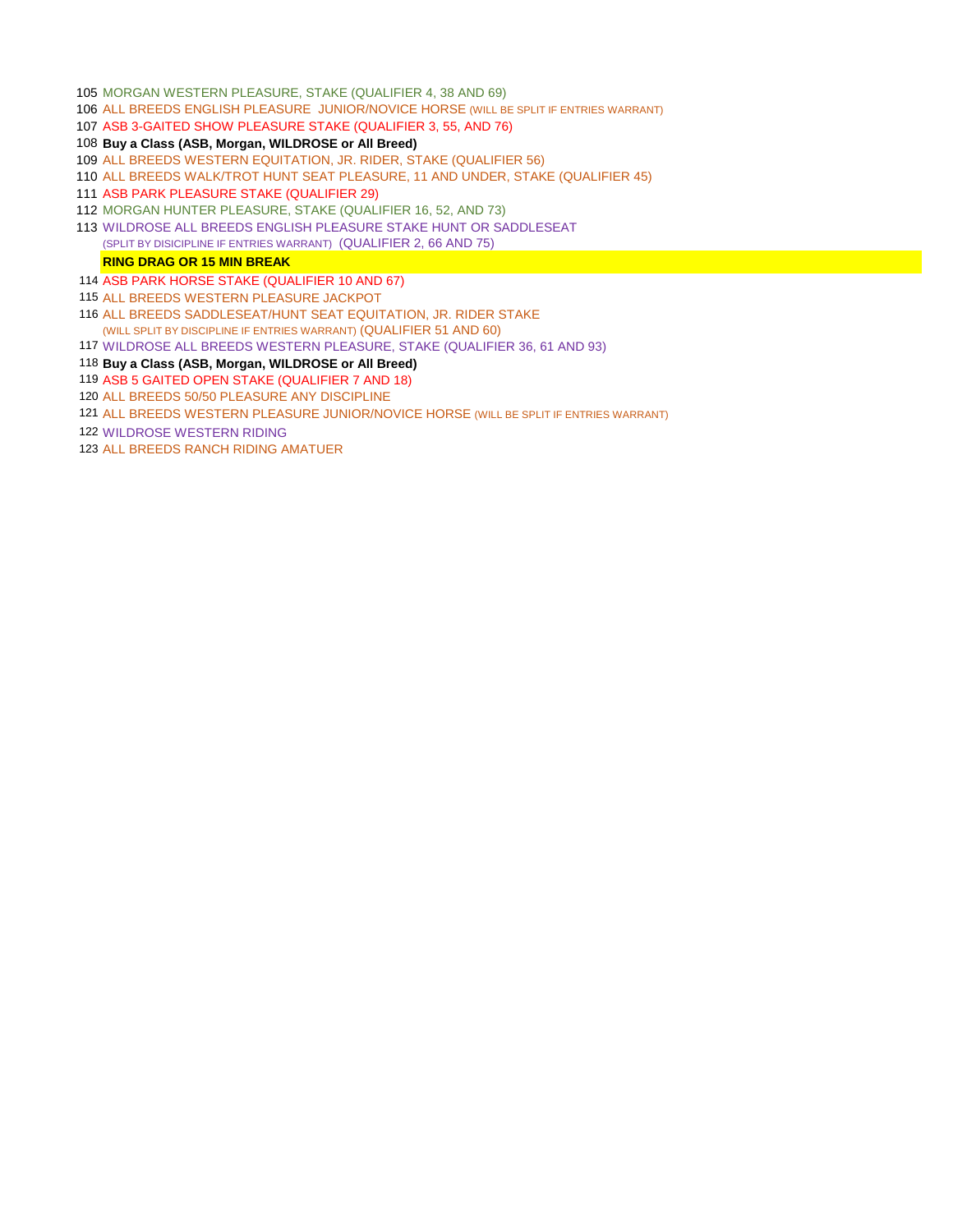- MORGAN WESTERN PLEASURE, STAKE (QUALIFIER 4, 38 AND 69)
- ALL BREEDS ENGLISH PLEASURE JUNIOR/NOVICE HORSE (WILL BE SPLIT IF ENTRIES WARRANT)
- ASB 3-GAITED SHOW PLEASURE STAKE (QUALIFIER 3, 55, AND 76)
- **Buy a Class (ASB, Morgan, WILDROSE or All Breed)**
- ALL BREEDS WESTERN EQUITATION, JR. RIDER, STAKE (QUALIFIER 56)
- ALL BREEDS WALK/TROT HUNT SEAT PLEASURE, 11 AND UNDER, STAKE (QUALIFIER 45)
- ASB PARK PLEASURE STAKE (QUALIFIER 29)
- MORGAN HUNTER PLEASURE, STAKE (QUALIFIER 16, 52, AND 73)
- WILDROSE ALL BREEDS ENGLISH PLEASURE STAKE HUNT OR SADDLESEAT (SPLIT BY DISICIPLINE IF ENTRIES WARRANT) (QUALIFIER 2, 66 AND 75)

#### **RING DRAG OR 15 MIN BREAK**

- ASB PARK HORSE STAKE (QUALIFIER 10 AND 67)
- ALL BREEDS WESTERN PLEASURE JACKPOT
- ALL BREEDS SADDLESEAT/HUNT SEAT EQUITATION, JR. RIDER STAKE (WILL SPLIT BY DISCIPLINE IF ENTRIES WARRANT) (QUALIFIER 51 AND 60)
- WILDROSE ALL BREEDS WESTERN PLEASURE, STAKE (QUALIFIER 36, 61 AND 93)
- **Buy a Class (ASB, Morgan, WILDROSE or All Breed)**
- ASB 5 GAITED OPEN STAKE (QUALIFIER 7 AND 18)
- ALL BREEDS 50/50 PLEASURE ANY DISCIPLINE
- ALL BREEDS WESTERN PLEASURE JUNIOR/NOVICE HORSE (WILL BE SPLIT IF ENTRIES WARRANT)
- WILDROSE WESTERN RIDING
- ALL BREEDS RANCH RIDING AMATUER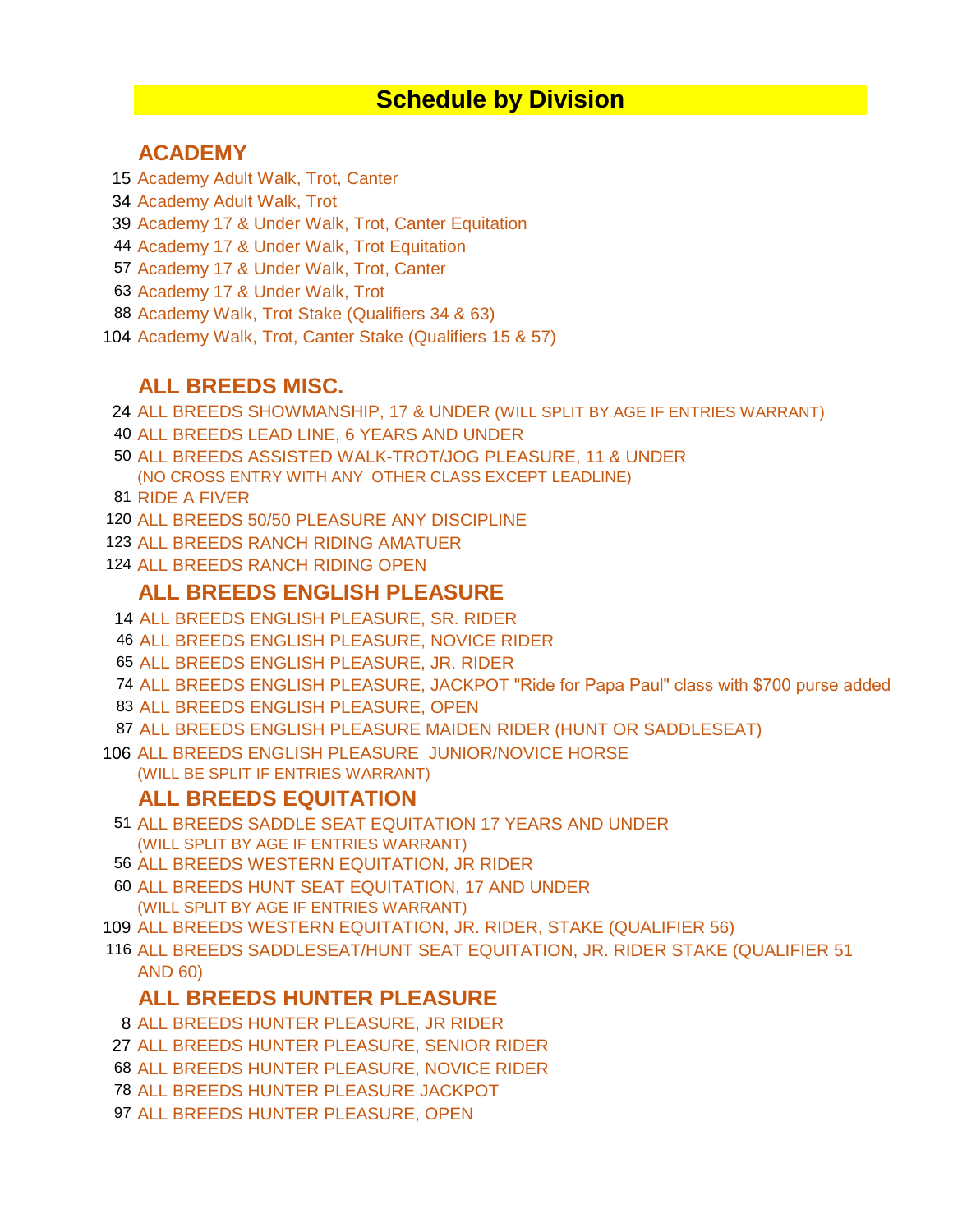# **Schedule by Division**

### **ACADEMY**

- Academy Adult Walk, Trot, Canter
- Academy Adult Walk, Trot
- Academy 17 & Under Walk, Trot, Canter Equitation
- Academy 17 & Under Walk, Trot Equitation
- Academy 17 & Under Walk, Trot, Canter
- Academy 17 & Under Walk, Trot
- Academy Walk, Trot Stake (Qualifiers 34 & 63)
- Academy Walk, Trot, Canter Stake (Qualifiers 15 & 57)

# **ALL BREEDS MISC.**

- ALL BREEDS SHOWMANSHIP, 17 & UNDER (WILL SPLIT BY AGE IF ENTRIES WARRANT)
- ALL BREEDS LEAD LINE, 6 YEARS AND UNDER
- ALL BREEDS ASSISTED WALK-TROT/JOG PLEASURE, 11 & UNDER (NO CROSS ENTRY WITH ANY OTHER CLASS EXCEPT LEADLINE)
- RIDE A FIVER
- ALL BREEDS 50/50 PLEASURE ANY DISCIPLINE
- ALL BREEDS RANCH RIDING AMATUER
- ALL BREEDS RANCH RIDING OPEN

## **ALL BREEDS ENGLISH PLEASURE**

- ALL BREEDS ENGLISH PLEASURE, SR. RIDER
- ALL BREEDS ENGLISH PLEASURE, NOVICE RIDER
- ALL BREEDS ENGLISH PLEASURE, JR. RIDER
- ALL BREEDS ENGLISH PLEASURE, JACKPOT "Ride for Papa Paul" class with \$700 purse added
- ALL BREEDS ENGLISH PLEASURE, OPEN
- ALL BREEDS ENGLISH PLEASURE MAIDEN RIDER (HUNT OR SADDLESEAT)
- ALL BREEDS ENGLISH PLEASURE JUNIOR/NOVICE HORSE
	- (WILL BE SPLIT IF ENTRIES WARRANT)

## **ALL BREEDS EQUITATION**

- ALL BREEDS SADDLE SEAT EQUITATION 17 YEARS AND UNDER (WILL SPLIT BY AGE IF ENTRIES WARRANT)
- ALL BREEDS WESTERN EQUITATION, JR RIDER
- ALL BREEDS HUNT SEAT EQUITATION, 17 AND UNDER (WILL SPLIT BY AGE IF ENTRIES WARRANT)
- ALL BREEDS WESTERN EQUITATION, JR. RIDER, STAKE (QUALIFIER 56)
- ALL BREEDS SADDLESEAT/HUNT SEAT EQUITATION, JR. RIDER STAKE (QUALIFIER 51 AND 60)

## **ALL BREEDS HUNTER PLEASURE**

- ALL BREEDS HUNTER PLEASURE, JR RIDER
- ALL BREEDS HUNTER PLEASURE, SENIOR RIDER
- ALL BREEDS HUNTER PLEASURE, NOVICE RIDER
- ALL BREEDS HUNTER PLEASURE JACKPOT
- ALL BREEDS HUNTER PLEASURE, OPEN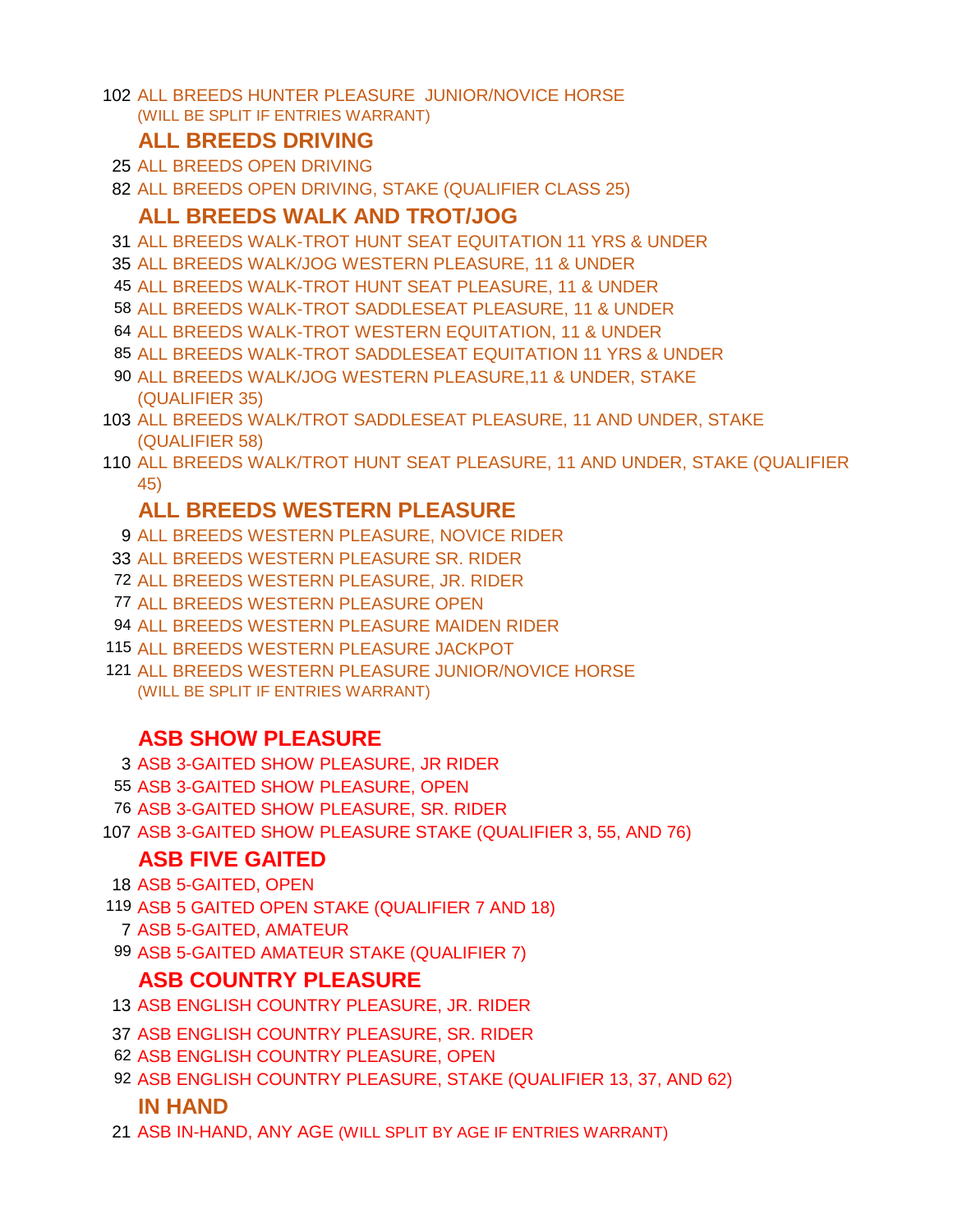ALL BREEDS HUNTER PLEASURE JUNIOR/NOVICE HORSE (WILL BE SPLIT IF ENTRIES WARRANT)

### **ALL BREEDS DRIVING**

- ALL BREEDS OPEN DRIVING
- ALL BREEDS OPEN DRIVING, STAKE (QUALIFIER CLASS 25)

### **ALL BREEDS WALK AND TROT/JOG**

- ALL BREEDS WALK-TROT HUNT SEAT EQUITATION 11 YRS & UNDER
- ALL BREEDS WALK/JOG WESTERN PLEASURE, 11 & UNDER
- ALL BREEDS WALK-TROT HUNT SEAT PLEASURE, 11 & UNDER
- ALL BREEDS WALK-TROT SADDLESEAT PLEASURE, 11 & UNDER
- ALL BREEDS WALK-TROT WESTERN EQUITATION, 11 & UNDER
- ALL BREEDS WALK-TROT SADDLESEAT EQUITATION 11 YRS & UNDER
- ALL BREEDS WALK/JOG WESTERN PLEASURE,11 & UNDER, STAKE (QUALIFIER 35)
- ALL BREEDS WALK/TROT SADDLESEAT PLEASURE, 11 AND UNDER, STAKE (QUALIFIER 58)
- ALL BREEDS WALK/TROT HUNT SEAT PLEASURE, 11 AND UNDER, STAKE (QUALIFIER 45)

## **ALL BREEDS WESTERN PLEASURE**

- ALL BREEDS WESTERN PLEASURE, NOVICE RIDER
- ALL BREEDS WESTERN PLEASURE SR. RIDER
- ALL BREEDS WESTERN PLEASURE, JR. RIDER
- ALL BREEDS WESTERN PLEASURE OPEN
- ALL BREEDS WESTERN PLEASURE MAIDEN RIDER
- ALL BREEDS WESTERN PLEASURE JACKPOT
- ALL BREEDS WESTERN PLEASURE JUNIOR/NOVICE HORSE (WILL BE SPLIT IF ENTRIES WARRANT)

# **ASB SHOW PLEASURE**

- ASB 3-GAITED SHOW PLEASURE, JR RIDER
- ASB 3-GAITED SHOW PLEASURE, OPEN
- ASB 3-GAITED SHOW PLEASURE, SR. RIDER
- ASB 3-GAITED SHOW PLEASURE STAKE (QUALIFIER 3, 55, AND 76)

# **ASB FIVE GAITED**

- ASB 5-GAITED, OPEN
- ASB 5 GAITED OPEN STAKE (QUALIFIER 7 AND 18)
	- ASB 5-GAITED, AMATEUR
- ASB 5-GAITED AMATEUR STAKE (QUALIFIER 7)

## **ASB COUNTRY PLEASURE**

- ASB ENGLISH COUNTRY PLEASURE, JR. RIDER
- ASB ENGLISH COUNTRY PLEASURE, SR. RIDER
- ASB ENGLISH COUNTRY PLEASURE, OPEN
- ASB ENGLISH COUNTRY PLEASURE, STAKE (QUALIFIER 13, 37, AND 62)

### **IN HAND**

ASB IN-HAND, ANY AGE (WILL SPLIT BY AGE IF ENTRIES WARRANT)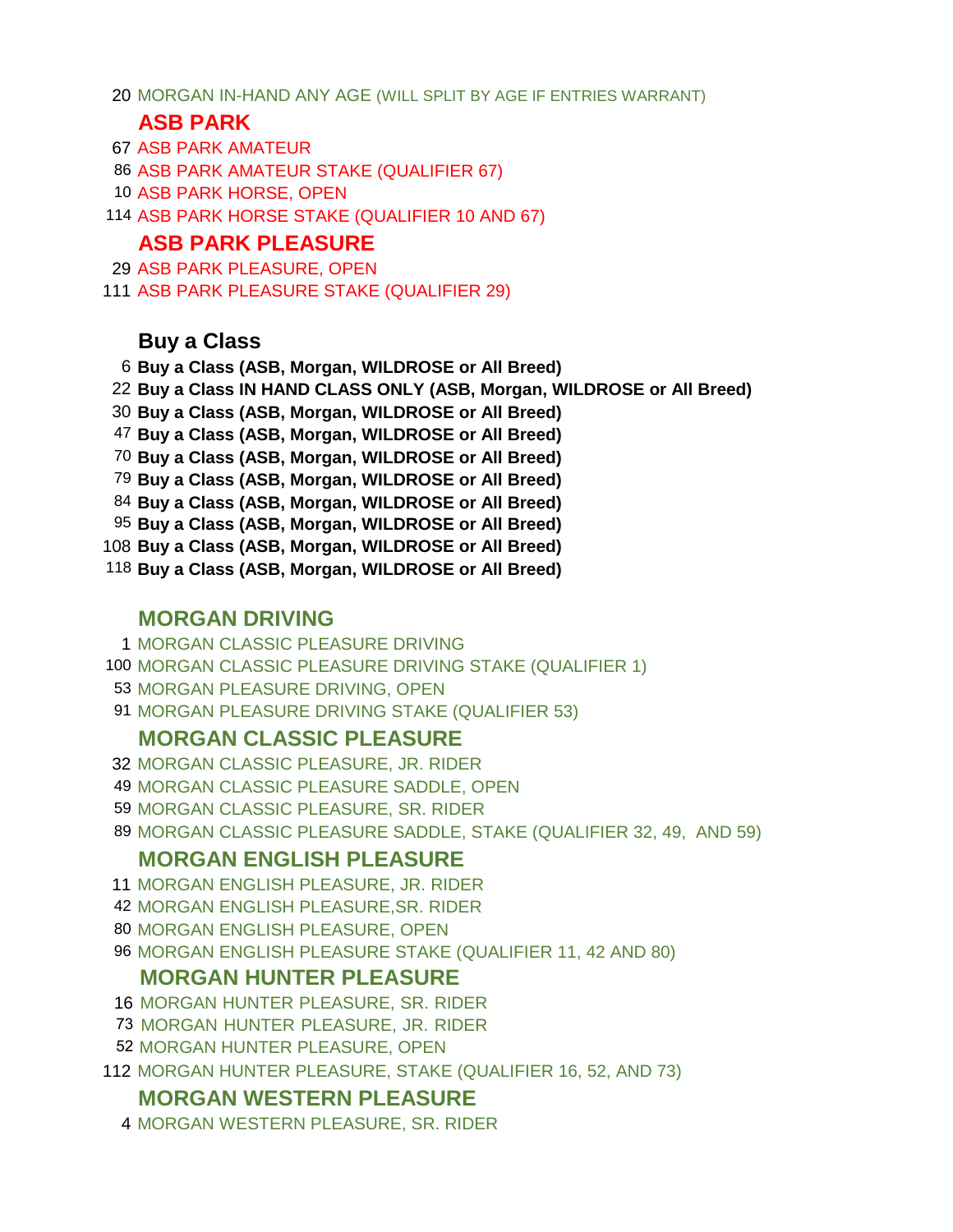MORGAN IN-HAND ANY AGE (WILL SPLIT BY AGE IF ENTRIES WARRANT)

### **ASB PARK**

- ASB PARK AMATEUR
- ASB PARK AMATEUR STAKE (QUALIFIER 67)
- ASB PARK HORSE, OPEN
- ASB PARK HORSE STAKE (QUALIFIER 10 AND 67)

### **ASB PARK PLEASURE**

 ASB PARK PLEASURE, OPEN ASB PARK PLEASURE STAKE (QUALIFIER 29)

## **Buy a Class**

 **Buy a Class (ASB, Morgan, WILDROSE or All Breed) Buy a Class IN HAND CLASS ONLY (ASB, Morgan, WILDROSE or All Breed) Buy a Class (ASB, Morgan, WILDROSE or All Breed) Buy a Class (ASB, Morgan, WILDROSE or All Breed) Buy a Class (ASB, Morgan, WILDROSE or All Breed) Buy a Class (ASB, Morgan, WILDROSE or All Breed) Buy a Class (ASB, Morgan, WILDROSE or All Breed) Buy a Class (ASB, Morgan, WILDROSE or All Breed) Buy a Class (ASB, Morgan, WILDROSE or All Breed) Buy a Class (ASB, Morgan, WILDROSE or All Breed)**

### **MORGAN DRIVING**

MORGAN CLASSIC PLEASURE DRIVING

- MORGAN CLASSIC PLEASURE DRIVING STAKE (QUALIFIER 1)
- MORGAN PLEASURE DRIVING, OPEN
- MORGAN PLEASURE DRIVING STAKE (QUALIFIER 53)

### **MORGAN CLASSIC PLEASURE**

- MORGAN CLASSIC PLEASURE, JR. RIDER
- MORGAN CLASSIC PLEASURE SADDLE, OPEN
- MORGAN CLASSIC PLEASURE, SR. RIDER
- MORGAN CLASSIC PLEASURE SADDLE, STAKE (QUALIFIER 32, 49, AND 59)

### **MORGAN ENGLISH PLEASURE**

- MORGAN ENGLISH PLEASURE, JR. RIDER
- MORGAN ENGLISH PLEASURE,SR. RIDER
- MORGAN ENGLISH PLEASURE, OPEN
- MORGAN ENGLISH PLEASURE STAKE (QUALIFIER 11, 42 AND 80)

## **MORGAN HUNTER PLEASURE**

- MORGAN HUNTER PLEASURE, SR. RIDER
- MORGAN HUNTER PLEASURE, JR. RIDER
- MORGAN HUNTER PLEASURE, OPEN
- MORGAN HUNTER PLEASURE, STAKE (QUALIFIER 16, 52, AND 73)

### **MORGAN WESTERN PLEASURE**

MORGAN WESTERN PLEASURE, SR. RIDER